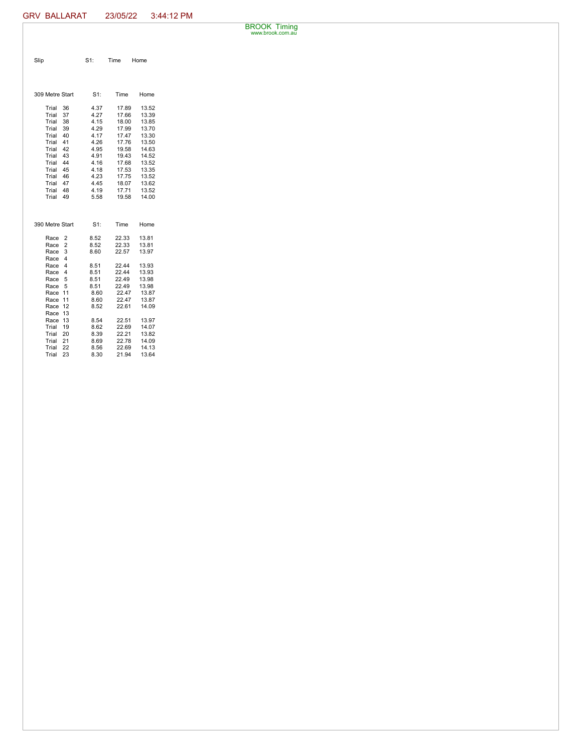BROOK Timing www.brook.com.au

| Slip                       | $S1$ :       | Time           | Home           |
|----------------------------|--------------|----------------|----------------|
|                            |              |                |                |
| 309 Metre Start            | S1:          | Time           | Home           |
| Trial<br>36<br>Trial<br>37 | 4.37<br>4.27 | 17.89<br>17.66 | 13.52<br>13.39 |
| Trial<br>38                | 4.15         | 18.00          | 13.85          |
| Trial<br>39                | 4.29         | 17.99          | 13.70          |
| 40<br>Trial                | 4.17         | 17.47          | 13.30          |
| Trial<br>41<br>Trial<br>42 | 4.26<br>4.95 | 17.76<br>19.58 | 13.50<br>14.63 |
| 43<br>Trial                | 4.91         | 19.43          | 14.52          |
| 44<br>Trial                | 4.16         | 17.68          | 13.52          |
| 45<br>Trial                | 4.18         | 17.53          | 13.35          |
| Trial<br>46                | 4.23         | 17.75          | 13.52          |
| 47<br>Trial                | 4.45         | 18.07          | 13.62          |
| Trial<br>48                | 4.19         | 17.71          | 13.52          |
| Trial<br>49                | 5.58         | 19.58          | 14.00          |
|                            |              |                |                |
| 390 Metre Start            | $S1$ :       | Time           | Home           |
| 2<br>Race                  | 8.52         | 22.33          | 13.81          |
| $\overline{2}$<br>Race     | 8.52         | 22.33          | 13.81          |
| 3<br>Race                  | 8.60         | 22.57          | 13.97          |
| 4<br>Race                  |              |                |                |
| 4<br>Race<br>Race<br>4     | 8.51<br>8.51 | 22.44<br>22.44 | 13.93<br>13.93 |
| Race<br>5                  | 8.51         | 22.49          | 13.98          |
| 5<br>Race                  | 8.51         | 22.49          | 13.98          |
| 11<br>Race                 | 8.60         | 22.47          | 13.87          |
| Race<br>11                 | 8.60         | 22.47          | 13.87          |
| 12<br>Race                 | 8.52         | 22.61          | 14.09          |
| 13<br>Race                 |              |                |                |
| 13<br>Race<br>Trial<br>19  | 8.54         | 22.51<br>22.69 | 13.97<br>14.07 |
| 20<br>Trial                | 8.62<br>8.39 | 22.21          | 13.82          |
| 21<br>Trial                | 8.69         | 22.78          | 14.09          |
| 22<br>Trial                | 8.56         | 22.69          | 14.13          |
| 23<br>Trial                | 8.30         | 21.94          | 13.64          |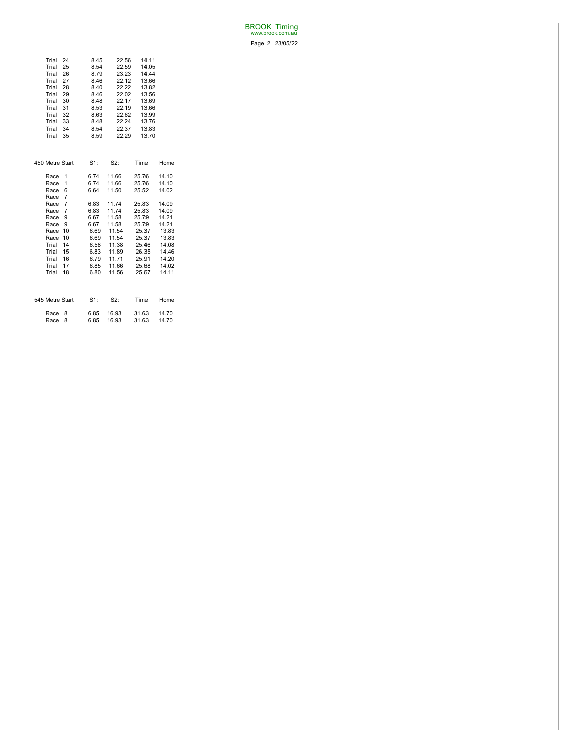## BROOK Timing www.brook.com.au

Page 2 23/05/22

| Trial<br>24<br>Trial<br>25<br>Trial<br>26<br>Trial<br>27<br>Trial<br>28<br>29<br>Trial<br>Trial<br>30<br>Trial<br>31<br>Trial<br>32<br>Trial<br>33<br>34<br>Trial<br>Trial<br>35 | 8.45<br>8.54<br>8.79<br>8.46<br>8.40<br>8.46<br>8.48<br>8.53<br>8.63<br>8.48<br>8.54<br>8.59 | 22.56<br>22.59<br>23.23<br>22.12<br>22.22<br>22.02<br>22.17<br>22.19<br>22.62<br>22.24<br>22.37<br>22.29 | 14.11<br>14.05<br>14.44<br>13.66<br>13.82<br>13.56<br>13.69<br>13.66<br>13.99<br>13.76<br>13.83<br>13.70 |       |
|----------------------------------------------------------------------------------------------------------------------------------------------------------------------------------|----------------------------------------------------------------------------------------------|----------------------------------------------------------------------------------------------------------|----------------------------------------------------------------------------------------------------------|-------|
| 450 Metre Start                                                                                                                                                                  | S1:                                                                                          | S2:                                                                                                      | Time                                                                                                     | Home  |
| Race<br>1                                                                                                                                                                        | 6.74                                                                                         | 11.66                                                                                                    | 25.76                                                                                                    | 14.10 |
| 1<br>Race                                                                                                                                                                        | 6.74                                                                                         | 11.66                                                                                                    | 25.76                                                                                                    | 14.10 |
| 6<br>Race                                                                                                                                                                        | 6.64                                                                                         | 11.50                                                                                                    | 25.52                                                                                                    | 14.02 |
| $\overline{7}$<br>Race                                                                                                                                                           |                                                                                              |                                                                                                          |                                                                                                          |       |
| $\overline{7}$<br>Race                                                                                                                                                           | 6.83                                                                                         | 11.74                                                                                                    | 25.83                                                                                                    | 14.09 |
| $\overline{7}$<br>Race                                                                                                                                                           | 6.83                                                                                         | 11.74                                                                                                    | 25.83                                                                                                    | 14.09 |
| Race<br>9                                                                                                                                                                        | 6.67                                                                                         | 11.58                                                                                                    | 25.79                                                                                                    | 14.21 |
| 9<br>Race                                                                                                                                                                        | 6.67                                                                                         | 11.58                                                                                                    | 25.79                                                                                                    | 14.21 |
| 10<br>Race                                                                                                                                                                       | 6.69                                                                                         | 11.54                                                                                                    | 25.37                                                                                                    | 13.83 |
| 10<br>Race                                                                                                                                                                       | 6.69                                                                                         | 11.54                                                                                                    | 25.37                                                                                                    | 13.83 |
| 14<br>Trial                                                                                                                                                                      | 6.58                                                                                         | 11.38                                                                                                    | 25.46                                                                                                    | 14.08 |
| Trial<br>15                                                                                                                                                                      | 6.83                                                                                         | 11.89                                                                                                    | 26.35                                                                                                    | 14.46 |
| 16<br>Trial                                                                                                                                                                      | 6.79                                                                                         | 11.71                                                                                                    | 25.91                                                                                                    | 14.20 |
| Trial<br>17                                                                                                                                                                      | 6.85                                                                                         | 11.66                                                                                                    | 25.68                                                                                                    | 14.02 |
| Trial<br>18                                                                                                                                                                      | 6.80                                                                                         | 11.56                                                                                                    | 25.67                                                                                                    | 14.11 |
| 545 Metre Start                                                                                                                                                                  | $S1$ :                                                                                       | S2:                                                                                                      | Time                                                                                                     | Home  |
| Race<br>8                                                                                                                                                                        | 6.85                                                                                         | 16.93                                                                                                    | 31.63                                                                                                    | 14.70 |
| 8<br>Race                                                                                                                                                                        | 6.85                                                                                         | 16.93                                                                                                    | 31.63                                                                                                    | 14.70 |
|                                                                                                                                                                                  |                                                                                              |                                                                                                          |                                                                                                          |       |